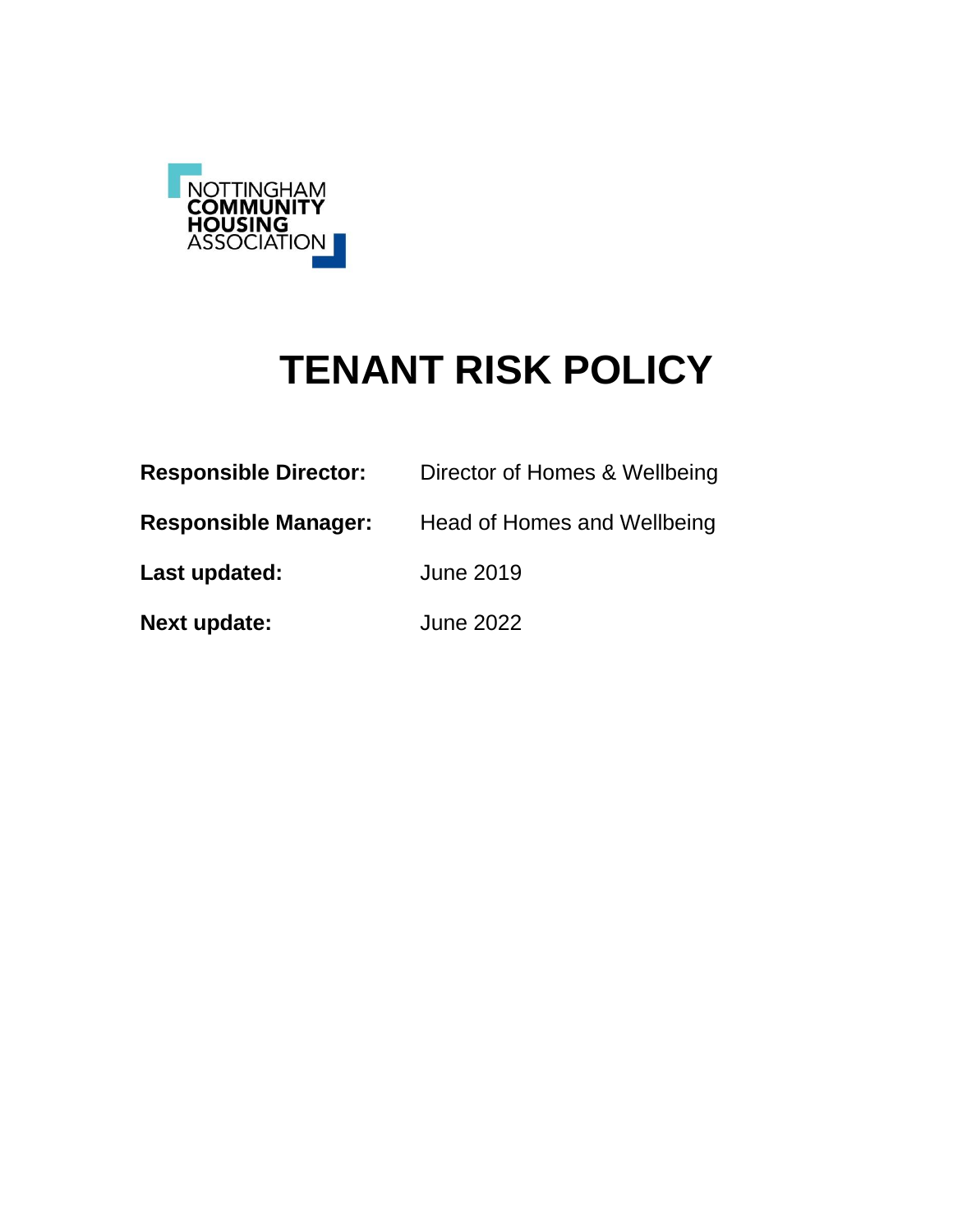

# **TENANT RISK POLICY**

| <b>Responsible Director:</b> | Director of Homes & Wellbeing |
|------------------------------|-------------------------------|
| <b>Responsible Manager:</b>  | Head of Homes and Wellbeing   |
| Last updated:                | <b>June 2019</b>              |
| <b>Next update:</b>          | <b>June 2022</b>              |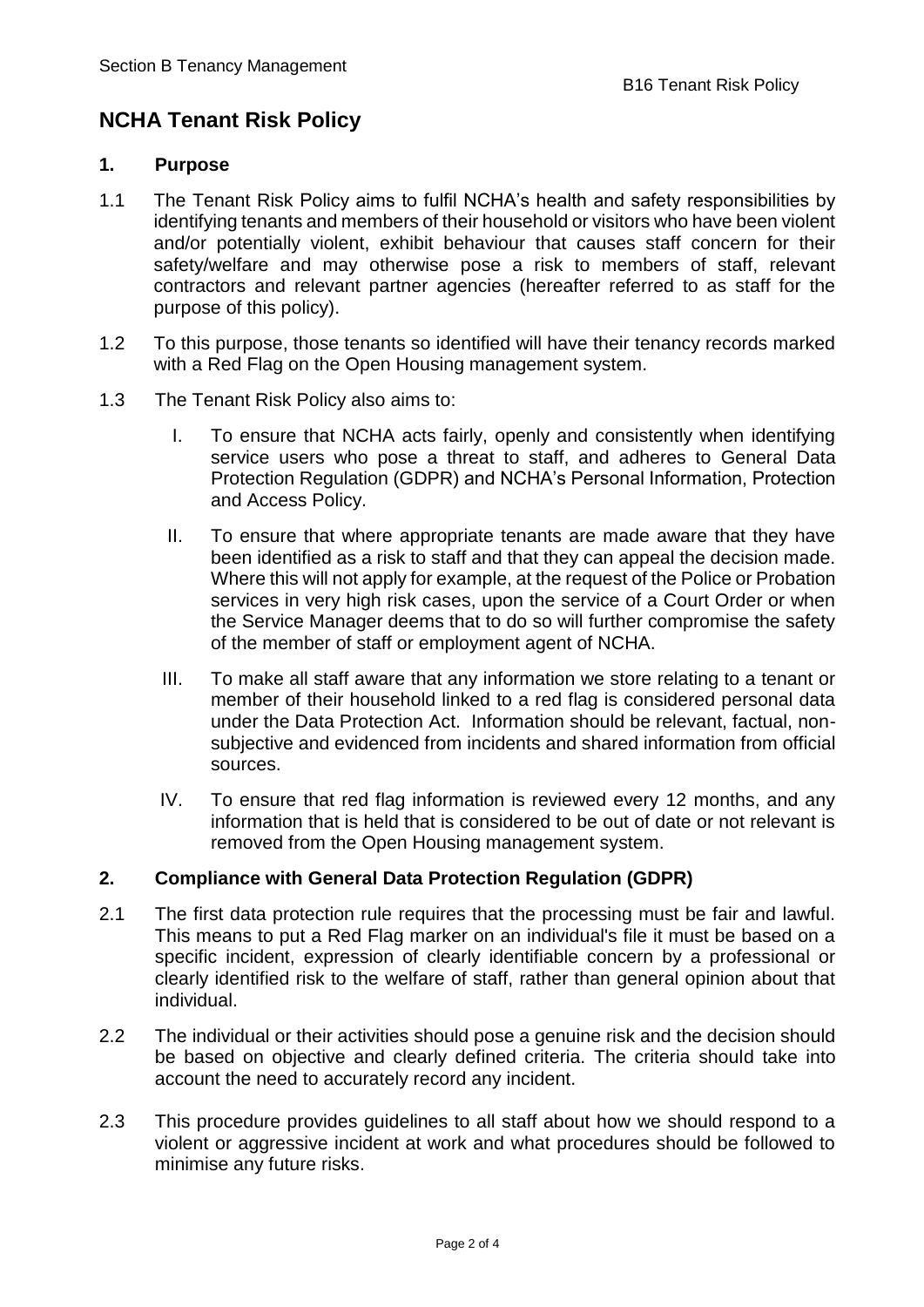## **NCHA Tenant Risk Policy**

#### **1. Purpose**

- 1.1 The Tenant Risk Policy aims to fulfil NCHA's health and safety responsibilities by identifying tenants and members of their household or visitors who have been violent and/or potentially violent, exhibit behaviour that causes staff concern for their safety/welfare and may otherwise pose a risk to members of staff, relevant contractors and relevant partner agencies (hereafter referred to as staff for the purpose of this policy).
- 1.2 To this purpose, those tenants so identified will have their tenancy records marked with a Red Flag on the Open Housing management system.
- 1.3 The Tenant Risk Policy also aims to:
	- I. To ensure that NCHA acts fairly, openly and consistently when identifying service users who pose a threat to staff, and adheres to General Data Protection Regulation (GDPR) and NCHA's Personal Information, Protection and Access Policy.
	- II. To ensure that where appropriate tenants are made aware that they have been identified as a risk to staff and that they can appeal the decision made. Where this will not apply for example, at the request of the Police or Probation services in very high risk cases, upon the service of a Court Order or when the Service Manager deems that to do so will further compromise the safety of the member of staff or employment agent of NCHA.
	- III. To make all staff aware that any information we store relating to a tenant or member of their household linked to a red flag is considered personal data under the Data Protection Act. Information should be relevant, factual, nonsubjective and evidenced from incidents and shared information from official sources.
	- IV. To ensure that red flag information is reviewed every 12 months, and any information that is held that is considered to be out of date or not relevant is removed from the Open Housing management system.

### **2. Compliance with General Data Protection Regulation (GDPR)**

- 2.1 The first data protection rule requires that the processing must be fair and lawful. This means to put a Red Flag marker on an individual's file it must be based on a specific incident, expression of clearly identifiable concern by a professional or clearly identified risk to the welfare of staff, rather than general opinion about that individual.
- 2.2 The individual or their activities should pose a genuine risk and the decision should be based on objective and clearly defined criteria. The criteria should take into account the need to accurately record any incident.
- 2.3 This procedure provides guidelines to all staff about how we should respond to a violent or aggressive incident at work and what procedures should be followed to minimise any future risks.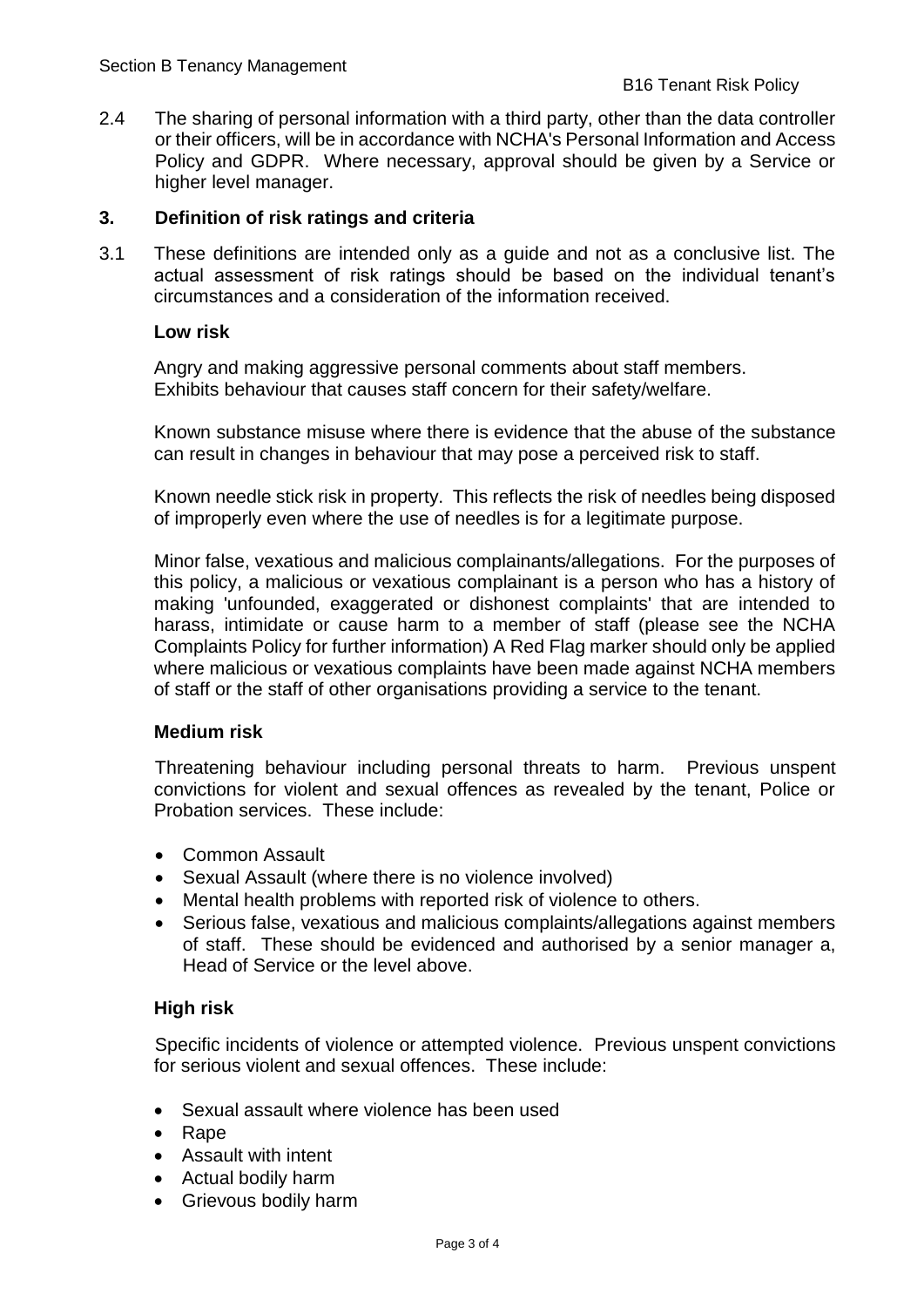2.4 The sharing of personal information with a third party, other than the data controller or their officers, will be in accordance with NCHA's Personal Information and Access Policy and GDPR. Where necessary, approval should be given by a Service or higher level manager.

#### **3. Definition of risk ratings and criteria**

3.1 These definitions are intended only as a guide and not as a conclusive list. The actual assessment of risk ratings should be based on the individual tenant's circumstances and a consideration of the information received.

#### **Low risk**

Angry and making aggressive personal comments about staff members. Exhibits behaviour that causes staff concern for their safety/welfare.

Known substance misuse where there is evidence that the abuse of the substance can result in changes in behaviour that may pose a perceived risk to staff.

Known needle stick risk in property. This reflects the risk of needles being disposed of improperly even where the use of needles is for a legitimate purpose.

Minor false, vexatious and malicious complainants/allegations. For the purposes of this policy, a malicious or vexatious complainant is a person who has a history of making 'unfounded, exaggerated or dishonest complaints' that are intended to harass, intimidate or cause harm to a member of staff (please see the NCHA Complaints Policy for further information) A Red Flag marker should only be applied where malicious or vexatious complaints have been made against NCHA members of staff or the staff of other organisations providing a service to the tenant.

#### **Medium risk**

Threatening behaviour including personal threats to harm. Previous unspent convictions for violent and sexual offences as revealed by the tenant, Police or Probation services. These include:

- Common Assault
- Sexual Assault (where there is no violence involved)
- Mental health problems with reported risk of violence to others.
- Serious false, vexatious and malicious complaints/allegations against members of staff. These should be evidenced and authorised by a senior manager a, Head of Service or the level above.

#### **High risk**

Specific incidents of violence or attempted violence. Previous unspent convictions for serious violent and sexual offences. These include:

- Sexual assault where violence has been used
- Rape
- Assault with intent
- Actual bodily harm
- Grievous bodily harm